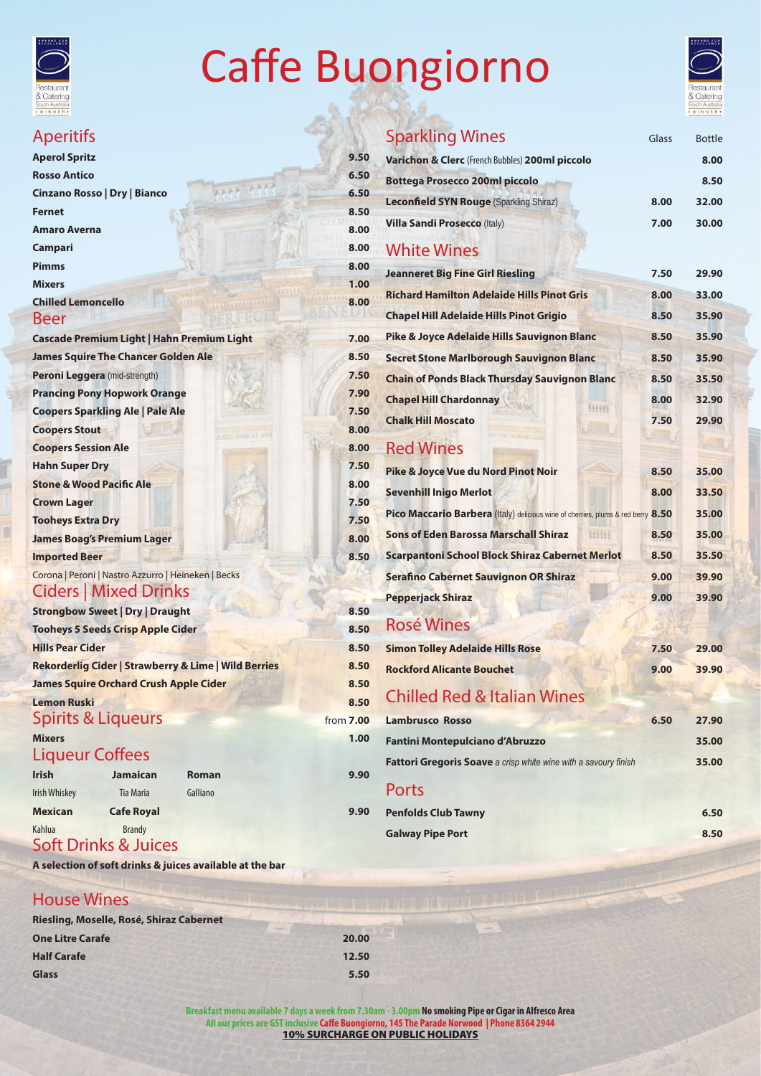#### Kahlua Brandy Soft Drinks & Juices

**Riesling, Moselle, Rosé, Shiraz Cabernet One Litre Carafe 20.00 Half Carafe 12.50 Glass** 5.50

**Penfolds Club Tawny 6.50** 

**Galway Pipe Port 8.50** 

Corona | Peroni | Nastro Azzurro | Heineken | Becks Ciders | Mixed Drinks

| <b>Strongbow Sweet   Dry   Draught</b>                          | 8.50             |
|-----------------------------------------------------------------|------------------|
| <b>Tooheys 5 Seeds Crisp Apple Cider</b>                        | 8.50             |
| <b>Hills Pear Cider</b>                                         | 8.50             |
| <b>Rekorderlig Cider   Strawberry &amp; Lime   Wild Berries</b> | 8.50             |
| <b>James Squire Orchard Crush Apple Cider</b>                   | 8.50             |
| <b>Lemon Ruski</b>                                              | 8.50             |
| <b>Spirits &amp; Liqueurs</b>                                   | from <b>7.00</b> |
| <b>Mixers</b>                                                   | 1.00             |
| <b>Liqueur Coffees</b>                                          |                  |

| <b>Irish</b>   | <b>Jamaican</b>   | Roman    | 9.90 |
|----------------|-------------------|----------|------|
| Irish Whiskey  | <b>Tia Maria</b>  | Galliano |      |
| <b>Mexican</b> | <b>Cafe Royal</b> |          | 9.90 |

**A selection of soft drinks & juices available at the bar**

#### House Wines

|                                                                                  |       | a Calenny<br>South Australia<br>WINNER. |
|----------------------------------------------------------------------------------|-------|-----------------------------------------|
| <b>Sparkling Wines</b>                                                           | Glass | <b>Bottle</b>                           |
| Varichon & Clerc (French Bubbles) 200ml piccolo                                  |       | 8.00                                    |
| <b>Bottega Prosecco 200ml piccolo</b>                                            |       | 8.50                                    |
| <b>Leconfield SYN Rouge (Sparkling Shiraz)</b>                                   | 8.00  | 32.00                                   |
| <b>Villa Sandi Prosecco (Italy)</b>                                              | 7.00  | 30.00                                   |
| <b>White Wines</b>                                                               |       |                                         |
| <b>Jeanneret Big Fine Girl Riesling</b>                                          | 7.50  | 29.90                                   |
| <b>Richard Hamilton Adelaide Hills Pinot Gris</b>                                | 8.00  | 33.00                                   |
| <b>Chapel Hill Adelaide Hills Pinot Grigio</b>                                   | 8.50  | 35.90                                   |
| Pike & Joyce Adelaide Hills Sauvignon Blanc                                      | 8.50  | 35.90                                   |
| <b>Secret Stone Marlborough Sauvignon Blanc</b>                                  | 8.50  | 35.90                                   |
| <b>Chain of Ponds Black Thursday Sauvignon Blanc</b>                             | 8.50  | 35.50                                   |
| <b>Chapel Hill Chardonnay</b>                                                    | 8.00  | 32.90                                   |
| <b>Chalk Hill Moscato</b>                                                        | 7.50  | 29.90                                   |
| <b>Red Wines</b>                                                                 |       |                                         |
| Pike & Joyce Vue du Nord Pinot Noir                                              | 8.50  | 35.00                                   |
| <b>Sevenhill Inigo Merlot</b>                                                    | 8.00  | 33.50                                   |
| Pico Maccario Barbera (Italy) delicious wine of cherries, plums & red berry 8.50 |       | 35.00                                   |
| <b>Sons of Eden Barossa Marschall Shiraz</b><br>141141                           | 8.50  | 35.00                                   |
| <b>Scarpantoni School Block Shiraz Cabernet Merlot</b>                           | 8.50  | 35.50                                   |
| <b>Serafino Cabernet Sauvignon OR Shiraz</b>                                     | 9.00  | 39.90                                   |
| <b>Pepperjack Shiraz</b>                                                         | 9.00  | 39.90                                   |
| <b>Rosé Wines</b>                                                                |       |                                         |
| <b>Simon Tolley Adelaide Hills Rose</b>                                          | 7.50  | 29.00                                   |
| <b>Rockford Alicante Bouchet</b>                                                 | 9.00  | 39.90                                   |
| <b>Chilled Red &amp; Italian Wines</b>                                           |       |                                         |
| <b>Lambrusco Rosso</b>                                                           | 6.50  | 27.90                                   |
| <b>Fantini Montepulciano d'Abruzzo</b>                                           |       | 35.00                                   |
| Fattori Gregoris Soave a crisp white wine with a savoury finish                  |       | 35.00                                   |
|                                                                                  |       |                                         |

#### Ports

**Breakfast menu available 7 days a week from 7.30am - 3.00pm No smoking Pipe or Cigar in Alfresco Area All our prices are GST inclusive Caffe Buongiorno, 145 The Parade Norwood | Phone 8364 2944** 10% SURCHARGE ON PUBLIC HOLIDAYS



# Caffe Buongiorno



#### Aperitifs **Aperol Spritz** 9.50 **Rosso Antico 6.50**<br>Cinzano Rosso I Dry I Rianco 6.50 **Cinzano Rosso | Dry | Bianco 6.50 Fernet** 8.50 **Amaro Averna** 8.00 **Campari 8.00 Pimms** 8.00 **Mixers 1.00 Chilled Lemoncello** 8.00 Beer **Cascade Premium Light | Hahn Premium Light 7.00 James Squire The Chancer Golden Ale 8.50 Peroni Leggera** (mid-strength) **7.50 Prancing Pony Hopwork Orange 7.90 Coopers Sparkling Ale | Pale Ale 7.50 Coopers Stout 8.00 Coopers Session Ale 8.00 Hahn Super Dry 7.50 Stone & Wood Pacific Ale 8.00 Crown Lager 7.50 Tooheys Extra Dry 7.50 James Boag's Premium Lager 8.00 Imported Beer 8.50**